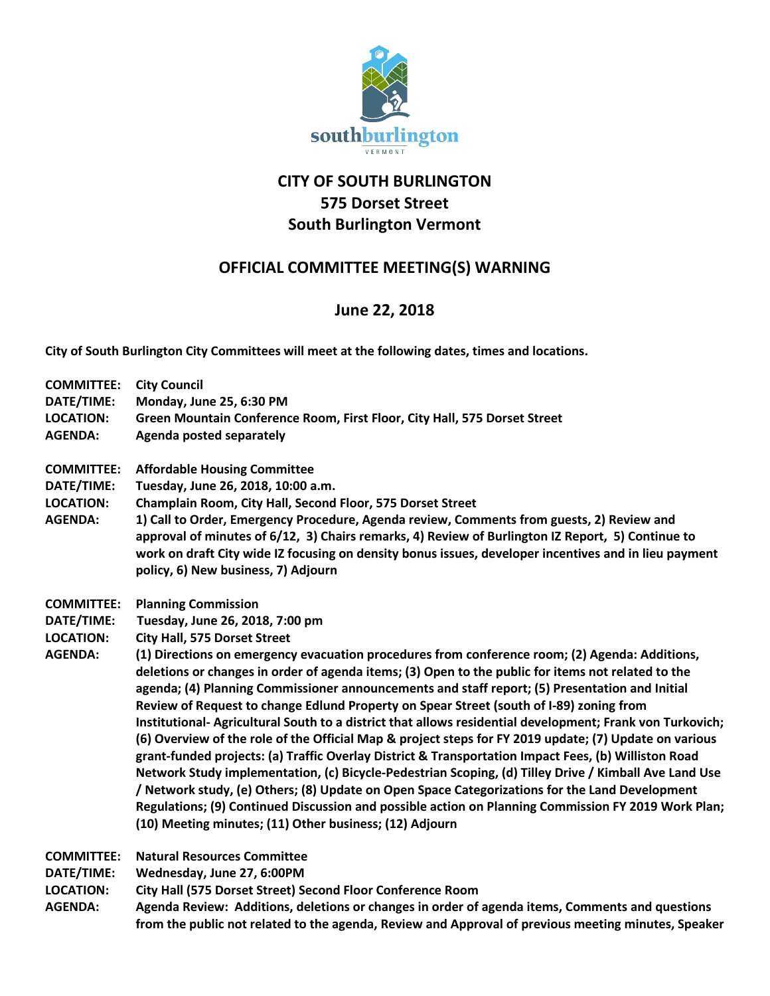

## **CITY OF SOUTH BURLINGTON 575 Dorset Street South Burlington Vermont**

## **OFFICIAL COMMITTEE MEETING(S) WARNING**

## **June 22, 2018**

**City of South Burlington City Committees will meet at the following dates, times and locations.** 

| <b>COMMITTEE:</b>                                                     | <b>City Council</b>                                                                                                                                                                                                                                                                                                                                                                                                                                                                                                                                                                                                                                                                                                                                                                                                                                                                                                                                                                                                                                                                                                                                                                                                  |
|-----------------------------------------------------------------------|----------------------------------------------------------------------------------------------------------------------------------------------------------------------------------------------------------------------------------------------------------------------------------------------------------------------------------------------------------------------------------------------------------------------------------------------------------------------------------------------------------------------------------------------------------------------------------------------------------------------------------------------------------------------------------------------------------------------------------------------------------------------------------------------------------------------------------------------------------------------------------------------------------------------------------------------------------------------------------------------------------------------------------------------------------------------------------------------------------------------------------------------------------------------------------------------------------------------|
| DATE/TIME:                                                            | Monday, June 25, 6:30 PM                                                                                                                                                                                                                                                                                                                                                                                                                                                                                                                                                                                                                                                                                                                                                                                                                                                                                                                                                                                                                                                                                                                                                                                             |
| <b>LOCATION:</b>                                                      | Green Mountain Conference Room, First Floor, City Hall, 575 Dorset Street                                                                                                                                                                                                                                                                                                                                                                                                                                                                                                                                                                                                                                                                                                                                                                                                                                                                                                                                                                                                                                                                                                                                            |
| <b>AGENDA:</b>                                                        | Agenda posted separately                                                                                                                                                                                                                                                                                                                                                                                                                                                                                                                                                                                                                                                                                                                                                                                                                                                                                                                                                                                                                                                                                                                                                                                             |
| <b>COMMITTEE:</b><br>DATE/TIME:<br><b>LOCATION:</b><br><b>AGENDA:</b> | <b>Affordable Housing Committee</b><br>Tuesday, June 26, 2018, 10:00 a.m.<br>Champlain Room, City Hall, Second Floor, 575 Dorset Street<br>1) Call to Order, Emergency Procedure, Agenda review, Comments from guests, 2) Review and<br>approval of minutes of 6/12, 3) Chairs remarks, 4) Review of Burlington IZ Report, 5) Continue to<br>work on draft City wide IZ focusing on density bonus issues, developer incentives and in lieu payment<br>policy, 6) New business, 7) Adjourn                                                                                                                                                                                                                                                                                                                                                                                                                                                                                                                                                                                                                                                                                                                            |
| <b>COMMITTEE:</b><br>DATE/TIME:<br><b>LOCATION:</b><br><b>AGENDA:</b> | <b>Planning Commission</b><br>Tuesday, June 26, 2018, 7:00 pm<br><b>City Hall, 575 Dorset Street</b><br>(1) Directions on emergency evacuation procedures from conference room; (2) Agenda: Additions,<br>deletions or changes in order of agenda items; (3) Open to the public for items not related to the<br>agenda; (4) Planning Commissioner announcements and staff report; (5) Presentation and Initial<br>Review of Request to change Edlund Property on Spear Street (south of I-89) zoning from<br>Institutional-Agricultural South to a district that allows residential development; Frank von Turkovich;<br>(6) Overview of the role of the Official Map & project steps for FY 2019 update; (7) Update on various<br>grant-funded projects: (a) Traffic Overlay District & Transportation Impact Fees, (b) Williston Road<br>Network Study implementation, (c) Bicycle-Pedestrian Scoping, (d) Tilley Drive / Kimball Ave Land Use<br>/ Network study, (e) Others; (8) Update on Open Space Categorizations for the Land Development<br>Regulations; (9) Continued Discussion and possible action on Planning Commission FY 2019 Work Plan;<br>(10) Meeting minutes; (11) Other business; (12) Adjourn |
| <b>COMMITTEE:</b>                                                     | <b>Natural Resources Committee</b>                                                                                                                                                                                                                                                                                                                                                                                                                                                                                                                                                                                                                                                                                                                                                                                                                                                                                                                                                                                                                                                                                                                                                                                   |
| DATE/TIME:                                                            | Wednesday, June 27, 6:00PM                                                                                                                                                                                                                                                                                                                                                                                                                                                                                                                                                                                                                                                                                                                                                                                                                                                                                                                                                                                                                                                                                                                                                                                           |

**LOCATION: City Hall (575 Dorset Street) Second Floor Conference Room**

**AGENDA: Agenda Review: Additions, deletions or changes in order of agenda items, Comments and questions from the public not related to the agenda, Review and Approval of previous meeting minutes, Speaker**